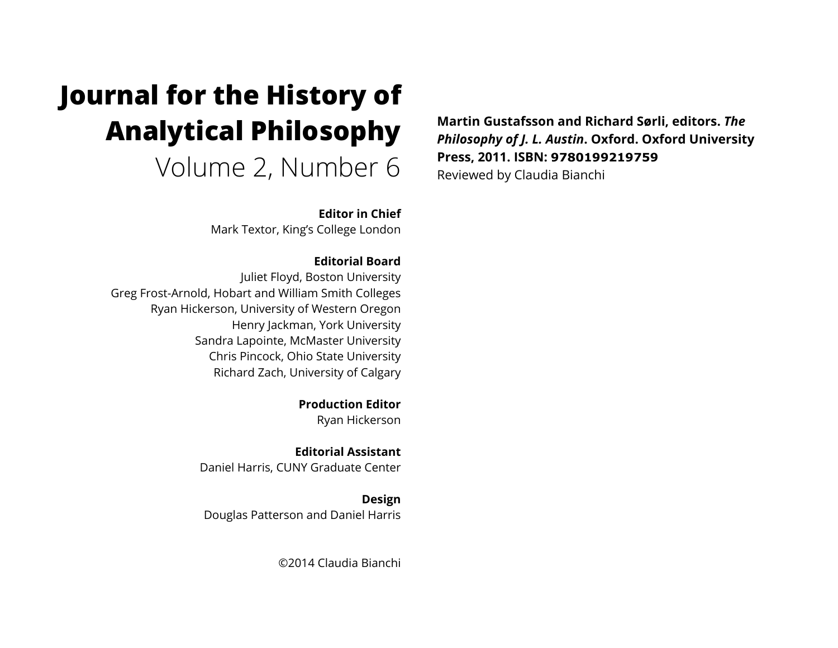# **Journal for the History of Analytical Philosophy**  Volume 2, Number 6

**Editor in Chief**

Mark Textor, King's College London

**Editorial Board** Juliet Floyd, Boston University Greg Frost-Arnold, Hobart and William Smith Colleges Ryan Hickerson, University of Western Oregon Henry Jackman, York University Sandra Lapointe, McMaster University Chris Pincock, Ohio State University Richard Zach, University of Calgary

> **Production Editor** Ryan Hickerson

**Editorial Assistant** Daniel Harris, CUNY Graduate Center

**Design** Douglas Patterson and Daniel Harris

©2014 Claudia Bianchi

**Martin Gustafsson and Richard Sørli, editors.** *The Philosophy of J. L. Austin***. Oxford. Oxford University Press, 2011. ISBN: 9780199219759** Reviewed by Claudia Bianchi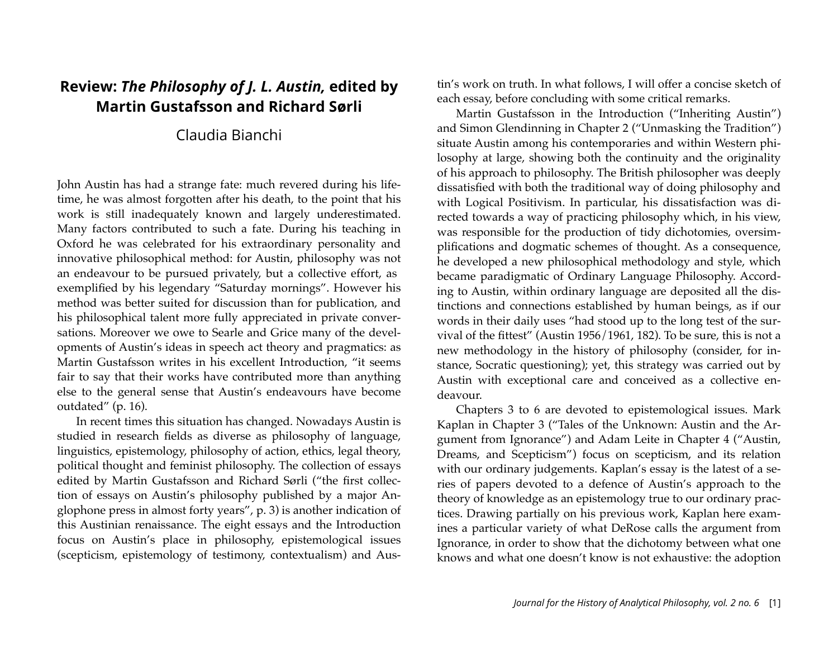## **Review:** *The Philosophy of J. L. Austin,* **edited by Martin Gustafsson and Richard Sørli**

### Claudia Bianchi

John Austin has had a strange fate: much revered during his lifetime, he was almost forgotten after his death, to the point that his work is still inadequately known and largely underestimated. Many factors contributed to such a fate. During his teaching in Oxford he was celebrated for his extraordinary personality and innovative philosophical method: for Austin, philosophy was not an endeavour to be pursued privately, but a collective effort, as exemplified by his legendary "Saturday mornings". However his method was better suited for discussion than for publication, and his philosophical talent more fully appreciated in private conversations. Moreover we owe to Searle and Grice many of the developments of Austin's ideas in speech act theory and pragmatics: as Martin Gustafsson writes in his excellent Introduction, "it seems fair to say that their works have contributed more than anything else to the general sense that Austin's endeavours have become outdated" (p. 16).

In recent times this situation has changed. Nowadays Austin is studied in research fields as diverse as philosophy of language, linguistics, epistemology, philosophy of action, ethics, legal theory, political thought and feminist philosophy. The collection of essays edited by Martin Gustafsson and Richard Sørli ("the first collection of essays on Austin's philosophy published by a major Anglophone press in almost forty years", p. 3) is another indication of this Austinian renaissance. The eight essays and the Introduction focus on Austin's place in philosophy, epistemological issues (scepticism, epistemology of testimony, contextualism) and Austin's work on truth. In what follows, I will offer a concise sketch of each essay, before concluding with some critical remarks.

Martin Gustafsson in the Introduction ("Inheriting Austin") and Simon Glendinning in Chapter 2 ("Unmasking the Tradition") situate Austin among his contemporaries and within Western philosophy at large, showing both the continuity and the originality of his approach to philosophy. The British philosopher was deeply dissatisfied with both the traditional way of doing philosophy and with Logical Positivism. In particular, his dissatisfaction was directed towards a way of practicing philosophy which, in his view, was responsible for the production of tidy dichotomies, oversimplifications and dogmatic schemes of thought. As a consequence, he developed a new philosophical methodology and style, which became paradigmatic of Ordinary Language Philosophy. According to Austin, within ordinary language are deposited all the distinctions and connections established by human beings, as if our words in their daily uses "had stood up to the long test of the survival of the fittest" (Austin 1956/1961, 182). To be sure, this is not a new methodology in the history of philosophy (consider, for instance, Socratic questioning); yet, this strategy was carried out by Austin with exceptional care and conceived as a collective endeavour.

Chapters 3 to 6 are devoted to epistemological issues. Mark Kaplan in Chapter 3 ("Tales of the Unknown: Austin and the Argument from Ignorance") and Adam Leite in Chapter 4 ("Austin, Dreams, and Scepticism") focus on scepticism, and its relation with our ordinary judgements. Kaplan's essay is the latest of a series of papers devoted to a defence of Austin's approach to the theory of knowledge as an epistemology true to our ordinary practices. Drawing partially on his previous work, Kaplan here examines a particular variety of what DeRose calls the argument from Ignorance, in order to show that the dichotomy between what one knows and what one doesn't know is not exhaustive: the adoption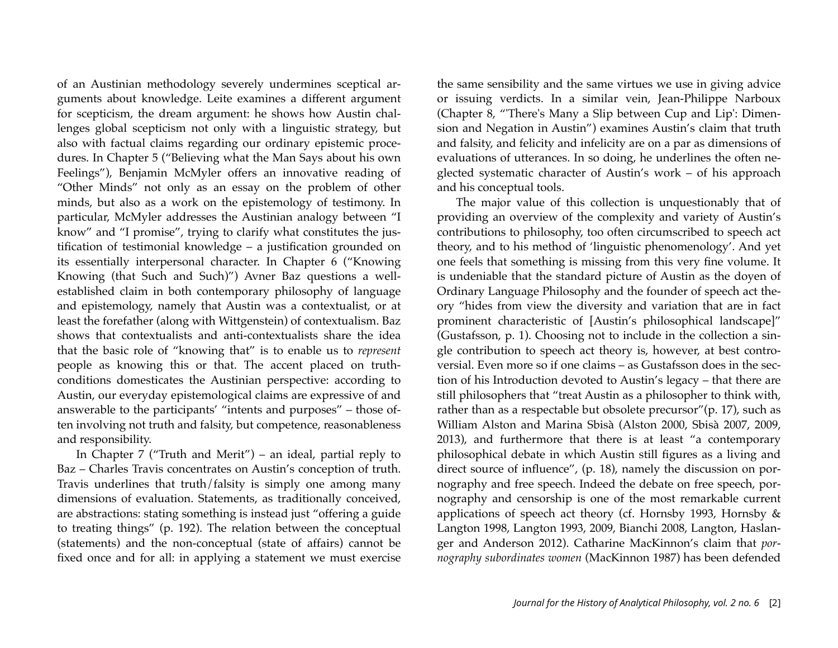of an Austinian methodology severely undermines sceptical arguments about knowledge. Leite examines a different argument for scepticism, the dream argument: he shows how Austin challenges global scepticism not only with a linguistic strategy, but also with factual claims regarding our ordinary epistemic procedures. In Chapter 5 ("Believing what the Man Says about his own Feelings"), Benjamin McMyler offers an innovative reading of "Other Minds" not only as an essay on the problem of other minds, but also as a work on the epistemology of testimony. In particular, McMyler addresses the Austinian analogy between "I know" and "I promise", trying to clarify what constitutes the justification of testimonial knowledge – a justification grounded on its essentially interpersonal character. In Chapter 6 ("Knowing Knowing (that Such and Such)") Avner Baz questions a wellestablished claim in both contemporary philosophy of language and epistemology, namely that Austin was a contextualist, or at least the forefather (along with Wittgenstein) of contextualism. Baz shows that contextualists and anti-contextualists share the idea that the basic role of "knowing that" is to enable us to *represent* people as knowing this or that. The accent placed on truthconditions domesticates the Austinian perspective: according to Austin, our everyday epistemological claims are expressive of and answerable to the participants' "intents and purposes" – those often involving not truth and falsity, but competence, reasonableness and responsibility.

In Chapter 7 ("Truth and Merit") – an ideal, partial reply to Baz – Charles Travis concentrates on Austin's conception of truth. Travis underlines that truth/falsity is simply one among many dimensions of evaluation. Statements, as traditionally conceived, are abstractions: stating something is instead just "offering a guide to treating things" (p. 192). The relation between the conceptual (statements) and the non-conceptual (state of affairs) cannot be fixed once and for all: in applying a statement we must exercise the same sensibility and the same virtues we use in giving advice or issuing verdicts. In a similar vein, Jean-Philippe Narboux (Chapter 8, "'There's Many a Slip between Cup and Lip': Dimension and Negation in Austin") examines Austin's claim that truth and falsity, and felicity and infelicity are on a par as dimensions of evaluations of utterances. In so doing, he underlines the often neglected systematic character of Austin's work – of his approach and his conceptual tools.

The major value of this collection is unquestionably that of providing an overview of the complexity and variety of Austin's contributions to philosophy, too often circumscribed to speech act theory, and to his method of 'linguistic phenomenology'. And yet one feels that something is missing from this very fine volume. It is undeniable that the standard picture of Austin as the doyen of Ordinary Language Philosophy and the founder of speech act theory "hides from view the diversity and variation that are in fact prominent characteristic of [Austin's philosophical landscape]" (Gustafsson, p. 1). Choosing not to include in the collection a single contribution to speech act theory is, however, at best controversial. Even more so if one claims – as Gustafsson does in the section of his Introduction devoted to Austin's legacy – that there are still philosophers that "treat Austin as a philosopher to think with, rather than as a respectable but obsolete precursor"(p. 17), such as William Alston and Marina Sbisà (Alston 2000, Sbisà 2007, 2009, 2013), and furthermore that there is at least "a contemporary philosophical debate in which Austin still figures as a living and direct source of influence", (p. 18), namely the discussion on pornography and free speech. Indeed the debate on free speech, pornography and censorship is one of the most remarkable current applications of speech act theory (cf. Hornsby 1993, Hornsby & Langton 1998, Langton 1993, 2009, Bianchi 2008, Langton, Haslanger and Anderson 2012). Catharine MacKinnon's claim that *pornography subordinates women* (MacKinnon 1987) has been defended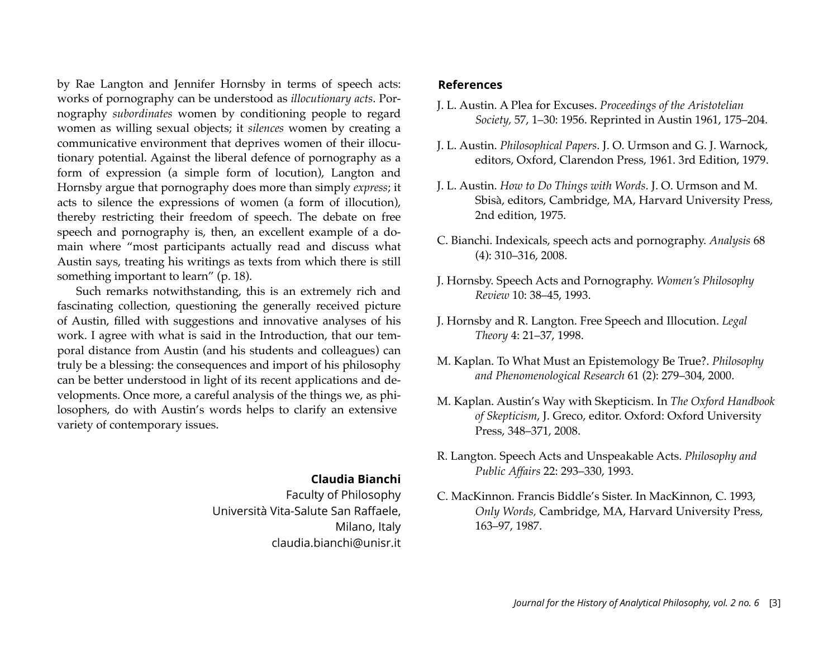by Rae Langton and Jennifer Hornsby in terms of speech acts: works of pornography can be understood as *illocutionary acts*. Pornography *subordinates* women by conditioning people to regard women as willing sexual objects; it *silences* women by creating a communicative environment that deprives women of their illocutionary potential. Against the liberal defence of pornography as a form of expression (a simple form of locution), Langton and Hornsby argue that pornography does more than simply *express*; it acts to silence the expressions of women (a form of illocution), thereby restricting their freedom of speech. The debate on free speech and pornography is, then, an excellent example of a domain where "most participants actually read and discuss what Austin says, treating his writings as texts from which there is still something important to learn" (p. 18).

Such remarks notwithstanding, this is an extremely rich and fascinating collection, questioning the generally received picture of Austin, filled with suggestions and innovative analyses of his work. I agree with what is said in the Introduction, that our temporal distance from Austin (and his students and colleagues) can truly be a blessing: the consequences and import of his philosophy can be better understood in light of its recent applications and developments. Once more, a careful analysis of the things we, as philosophers, do with Austin's words helps to clarify an extensive variety of contemporary issues.

#### **Claudia Bianchi**

Faculty of Philosophy Università Vita-Salute San Raffaele, Milano, Italy claudia.bianchi@unisr.it

#### **References**

- J. L. Austin. A Plea for Excuses. *Proceedings of the Aristotelian Society,* 57, 1–30: 1956. Reprinted in Austin 1961, 175–204.
- J. L. Austin. *Philosophical Papers*. J. O. Urmson and G. J. Warnock, editors, Oxford, Clarendon Press, 1961. 3rd Edition, 1979.
- J. L. Austin. *How to Do Things with Words*. J. O. Urmson and M. Sbisà, editors, Cambridge, MA, Harvard University Press, 2nd edition, 1975.
- C. Bianchi. Indexicals, speech acts and pornography. *Analysis* 68 (4): 310–316, 2008.
- J. Hornsby. Speech Acts and Pornography. *Women's Philosophy Review* 10: 38–45, 1993.
- J. Hornsby and R. Langton. Free Speech and Illocution. *Legal Theory* 4: 21–37, 1998.
- M. Kaplan. To What Must an Epistemology Be True?. *Philosophy and Phenomenological Research* 61 (2): 279–304, 2000.
- M. Kaplan. Austin's Way with Skepticism. In *The Oxford Handbook of Skepticism*, J. Greco, editor. Oxford: Oxford University Press, 348–371, 2008.
- R. Langton. Speech Acts and Unspeakable Acts. *Philosophy and Public Affairs* 22: 293–330, 1993.
- C. MacKinnon. Francis Biddle's Sister. In MacKinnon, C. 1993, *Only Words,* Cambridge, MA, Harvard University Press, 163–97, 1987.